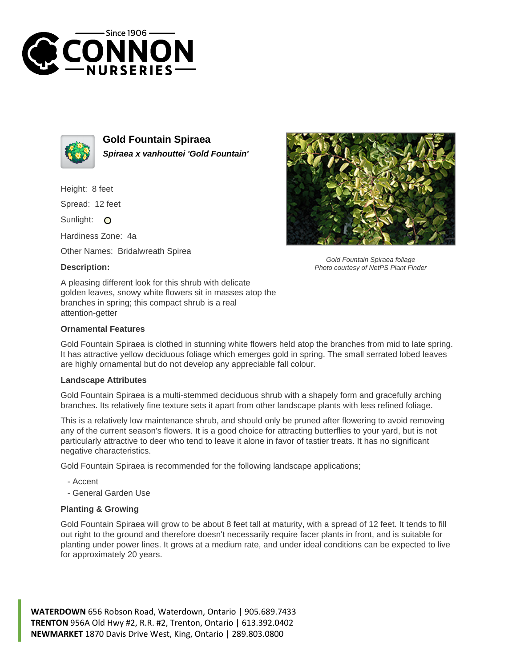



**Gold Fountain Spiraea Spiraea x vanhouttei 'Gold Fountain'**

Height: 8 feet

Spread: 12 feet

Sunlight: O

Hardiness Zone: 4a

Other Names: Bridalwreath Spirea

## **Description:**



Gold Fountain Spiraea foliage Photo courtesy of NetPS Plant Finder

A pleasing different look for this shrub with delicate golden leaves, snowy white flowers sit in masses atop the branches in spring; this compact shrub is a real attention-getter

## **Ornamental Features**

Gold Fountain Spiraea is clothed in stunning white flowers held atop the branches from mid to late spring. It has attractive yellow deciduous foliage which emerges gold in spring. The small serrated lobed leaves are highly ornamental but do not develop any appreciable fall colour.

## **Landscape Attributes**

Gold Fountain Spiraea is a multi-stemmed deciduous shrub with a shapely form and gracefully arching branches. Its relatively fine texture sets it apart from other landscape plants with less refined foliage.

This is a relatively low maintenance shrub, and should only be pruned after flowering to avoid removing any of the current season's flowers. It is a good choice for attracting butterflies to your yard, but is not particularly attractive to deer who tend to leave it alone in favor of tastier treats. It has no significant negative characteristics.

Gold Fountain Spiraea is recommended for the following landscape applications;

- Accent
- General Garden Use

## **Planting & Growing**

Gold Fountain Spiraea will grow to be about 8 feet tall at maturity, with a spread of 12 feet. It tends to fill out right to the ground and therefore doesn't necessarily require facer plants in front, and is suitable for planting under power lines. It grows at a medium rate, and under ideal conditions can be expected to live for approximately 20 years.

**WATERDOWN** 656 Robson Road, Waterdown, Ontario | 905.689.7433 **TRENTON** 956A Old Hwy #2, R.R. #2, Trenton, Ontario | 613.392.0402 **NEWMARKET** 1870 Davis Drive West, King, Ontario | 289.803.0800